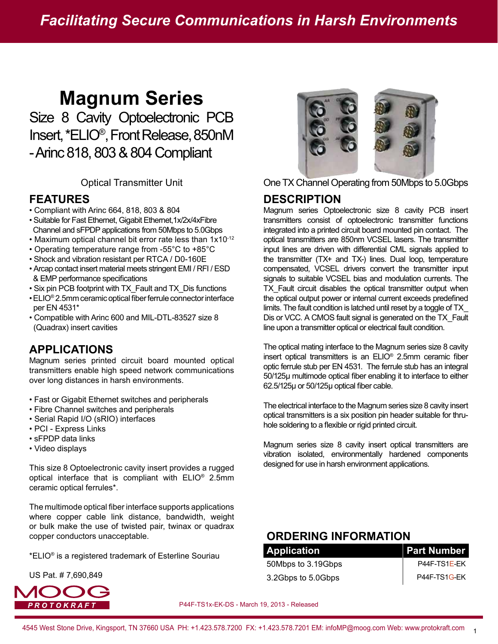# **Magnum Series**

Size 8 Cavity Optoelectronic PCB Insert, \*ELIO®, Front Release, 850nM - Arinc 818, 803 & 804 Compliant

#### **FEATURES**

- Compliant with Arinc 664, 818, 803 & 804
- Suitable for Fast Ethernet, Gigabit Ethernet,1x/2x/4xFibre Channel and sFPDP applications from 50Mbps to 5.0Gbps
- Maximum optical channel bit error rate less than 1x10-12
- Operating temperature range from -55°C to +85°C
- Shock and vibration resistant per RTCA / D0-160E
- Arcap contact insert material meets stringent EMI / RFI / ESD & EMP performance specifications
- Six pin PCB footprint with TX\_Fault and TX\_Dis functions
- $\bullet$  ELIO® 2.5mm ceramic optical fiber ferrule connector interface per EN 4531\*
- Compatible with Arinc 600 and MIL-DTL-83527 size 8 (Quadrax) insert cavities

## **APPLICATIONS**

Magnum series printed circuit board mounted optical transmitters enable high speed network communications over long distances in harsh environments.

- Fast or Gigabit Ethernet switches and peripherals
- Fibre Channel switches and peripherals
- Serial Rapid I/O (sRIO) interfaces
- PCI Express Links
- sFPDP data links
- Video displays

This size 8 Optoelectronic cavity insert provides a rugged optical interface that is compliant with ELIO® 2.5mm ceramic optical ferrules\*.

The multimode optical fiber interface supports applications where copper cable link distance, bandwidth, weight or bulk make the use of twisted pair, twinax or quadrax copper conductors unacceptable.

\*ELIO® is a registered trademark of Esterline Souriau

US Pat. # 7,690,849





Optical Transmitter Unit **One TX Channel Operating from 50Mbps to 5.0Gbps** 

#### **DESCRIPTION**

Magnum series Optoelectronic size 8 cavity PCB insert transmitters consist of optoelectronic transmitter functions integrated into a printed circuit board mounted pin contact. The optical transmitters are 850nm VCSEL lasers. The transmitter input lines are driven with differential CML signals applied to the transmitter (TX+ and TX-) lines. Dual loop, temperature compensated, VCSEL drivers convert the transmitter input signals to suitable VCSEL bias and modulation currents. The TX\_Fault circuit disables the optical transmitter output when the optical output power or internal current exceeds predefined limits. The fault condition is latched until reset by a toggle of TX\_ Dis or VCC. A CMOS fault signal is generated on the TX\_Fault line upon a transmitter optical or electrical fault condition.

The optical mating interface to the Magnum series size 8 cavity insert optical transmitters is an  $ELO^{\circ}$  2.5mm ceramic fiber optic ferrule stub per EN 4531. The ferrule stub has an integral 50/125μ multimode optical fiber enabling it to interface to either 62.5/125µ or 50/125µ optical fiber cable.

The electrical interface to the Magnum series size 8 cavity insert optical transmitters is a six position pin header suitable for thruhole soldering to a flexible or rigid printed circuit.

Magnum series size 8 cavity insert optical transmitters are vibration isolated, environmentally hardened components designed for use in harsh environment applications.

## **ORDERING INFORMATION**

| <b>Application</b> | <b>Part Number</b> |
|--------------------|--------------------|
| 50Mbps to 3.19Gbps | P44F-TS1E-EK       |
| 3.2Gbps to 5.0Gbps | P44F-TS1G-EK       |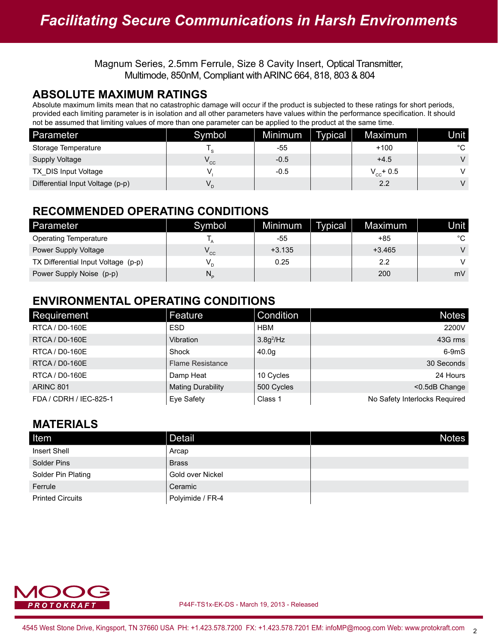#### **ABSOLUTE MAXIMUM RATINGS**

Absolute maximum limits mean that no catastrophic damage will occur if the product is subjected to these ratings for short periods, provided each limiting parameter is in isolation and all other parameters have values within the performance specification. It should not be assumed that limiting values of more than one parameter can be applied to the product at the same time.

| Parameter                        | Symbol | Minimum | <b>Typical</b> | Maximum        | Unit l |
|----------------------------------|--------|---------|----------------|----------------|--------|
| Storage Temperature              | $\sim$ | -55     |                | $+100$         | °C     |
| <b>Supply Voltage</b>            | ' cc   | $-0.5$  |                | $+4.5$         | V      |
| TX DIS Input Voltage             |        | $-0.5$  |                | $V_{cc}$ + 0.5 | v      |
| Differential Input Voltage (p-p) | V.     |         |                | 2.2            | V      |

## **RECOMMENDED OPERATING CONDITIONS**

| Parameter                           | Symbol                     | Minimum  | <b>Typical</b> | Maximum  | Unit l |
|-------------------------------------|----------------------------|----------|----------------|----------|--------|
| <b>Operating Temperature</b>        |                            | -55      |                | +85      | °C     |
| Power Supply Voltage                | $\mathsf{V}_{\mathsf{cc}}$ | $+3.135$ |                | $+3.465$ | V      |
| TX Differential Input Voltage (p-p) |                            | 0.25     |                | 2.2      | V      |
| Power Supply Noise (p-p)            | N,                         |          |                | 200      | mV     |

## **ENVIRONMENTAL OPERATING CONDITIONS**

| Requirement            | Feature                  | Condition    | <b>Notes</b>                  |
|------------------------|--------------------------|--------------|-------------------------------|
| RTCA / D0-160E         | <b>ESD</b>               | <b>HBM</b>   | 2200V                         |
| <b>RTCA / D0-160E</b>  | Vibration                | $3.8g^2$ /Hz | 43G rms                       |
| RTCA / D0-160E         | Shock                    | 40.0q        | $6-9mS$                       |
| RTCA / D0-160E         | <b>Flame Resistance</b>  |              | 30 Seconds                    |
| RTCA / D0-160E         | Damp Heat                | 10 Cycles    | 24 Hours                      |
| <b>ARINC 801</b>       | <b>Mating Durability</b> | 500 Cycles   | <0.5dB Change                 |
| FDA / CDRH / IEC-825-1 | Eye Safety               | Class 1      | No Safety Interlocks Required |

## **MATERIALS**

| Item                    | Detail           | <b>Notes</b> |
|-------------------------|------------------|--------------|
| Insert Shell            | Arcap            |              |
| Solder Pins             | <b>Brass</b>     |              |
| Solder Pin Plating      | Gold over Nickel |              |
| Ferrule                 | Ceramic          |              |
| <b>Printed Circuits</b> | Polyimide / FR-4 |              |

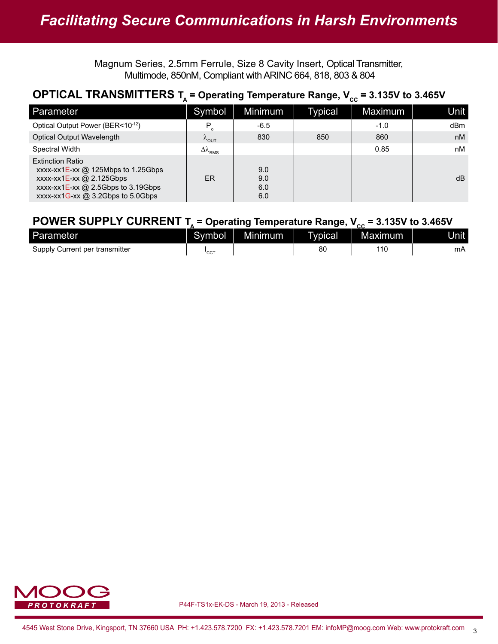## **OPTICAL TRANSMITTERS**  $T_A$  **= Operating Temperature Range,**  $V_{cc}$  **= 3.135V to 3.465V**

| Parameter                                                                                                                                                                          | Symbol                         | Minimum                  | Typical | Maximum | Unit |
|------------------------------------------------------------------------------------------------------------------------------------------------------------------------------------|--------------------------------|--------------------------|---------|---------|------|
| Optical Output Power (BER<10-12)                                                                                                                                                   | Р                              | $-6.5$                   |         | $-1.0$  | dBm  |
| <b>Optical Output Wavelength</b>                                                                                                                                                   | $\lambda_{\text{OUT}}$         | 830                      | 850     | 860     | nM   |
| <b>Spectral Width</b>                                                                                                                                                              | $\Delta\lambda$ <sub>RMS</sub> |                          |         | 0.85    | nM   |
| <b>Extinction Ratio</b><br>xxxx-xx1E-xx $@$ 125Mbps to 1.25Gbps<br>$xxxx-xx1E$ -xx @ 2.125Gbps<br>$xxxx-xx1E$ - $xx@$ 2.5Gbps to 3.19Gbps<br>$xxxx-xx1G$ - $xx@3.2Gbps$ to 5.0Gbps | ER                             | 9.0<br>9.0<br>6.0<br>6.0 |         |         | dB   |

#### **POWER SUPPLY CURRENT T<sub>A</sub> = Operating Temperature Range,**  $V_{cc}$  **= 3.135V to 3.465V**

| Parameter                      | Svmbol       | Minimum | vpical | Maxımum | <b>Jnit</b> |
|--------------------------------|--------------|---------|--------|---------|-------------|
| Supply Current per transmitter | $\sim$<br>◡◡ |         | 80     | $-11C$  | mΑ          |

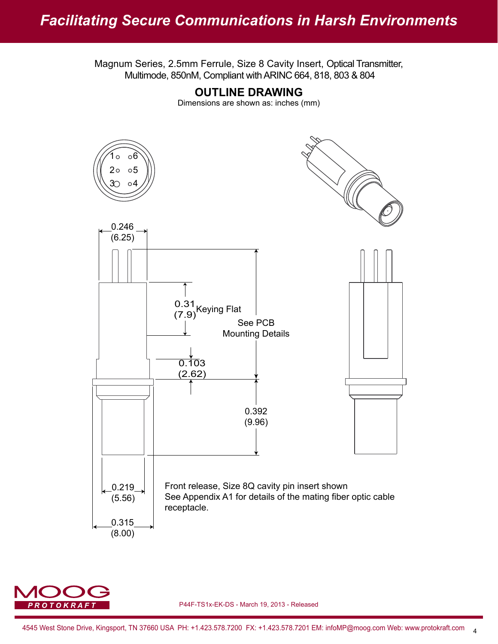

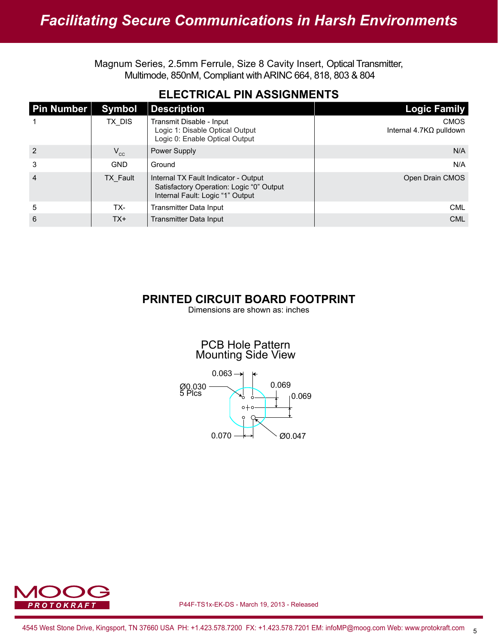| <b>Pin Number</b> | <b>Symbol</b>   | <b>Description</b>                                                                                                   | Logic Family                                  |
|-------------------|-----------------|----------------------------------------------------------------------------------------------------------------------|-----------------------------------------------|
|                   | TX DIS          | Transmit Disable - Input<br>Logic 1: Disable Optical Output<br>Logic 0: Enable Optical Output                        | <b>CMOS</b><br>Internal $4.7K\Omega$ pulldown |
| $\overline{2}$    | $V_{cc}$        | Power Supply                                                                                                         | N/A                                           |
| 3                 | <b>GND</b>      | Ground                                                                                                               | N/A                                           |
| $\overline{4}$    | <b>TX Fault</b> | Internal TX Fault Indicator - Output<br>Satisfactory Operation: Logic "0" Output<br>Internal Fault: Logic "1" Output | Open Drain CMOS                               |
| 5                 | TX-             | Transmitter Data Input                                                                                               | <b>CML</b>                                    |
| 6                 | $TX+$           | Transmitter Data Input                                                                                               | <b>CML</b>                                    |

#### **PRINTED CIRCUIT BOARD FOOTPRINT**

Dimensions are shown as: inches

#### PCB Hole Pattern Mounting Side View



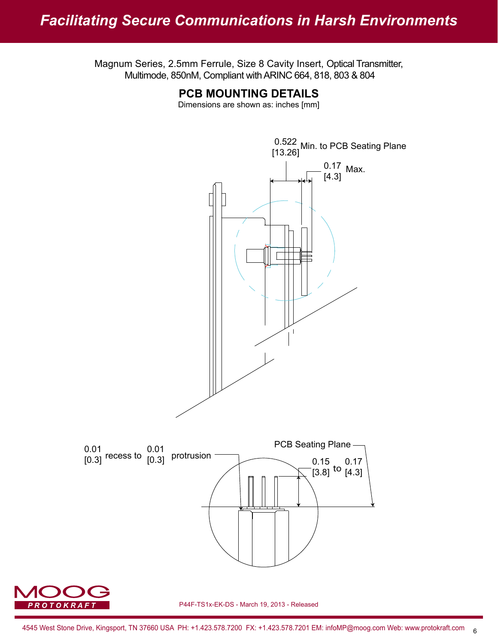**PCB MOUNTING DETAILS**



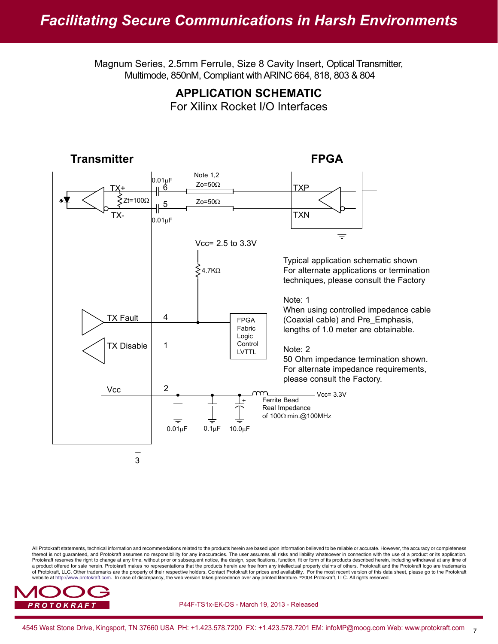#### **APPLICATION SCHEMATIC** For Xilinx Rocket I/O Interfaces



All Protokraft statements, technical information and recommendations related to the products herein are based upon information believed to be reliable or accurate. However, the accuracy or completeness thereof is not guaranteed, and Protokraft assumes no responsibillity for any inaccuracies. The user assumes all risks and liability whatsoever in connection with the use of a product or its application. Protokraft reserves the right to change at any time, without prior or subsequent notice, the design, specifications, function, fit or form of its products described herein, including withdrawal at any time of a product offered for sale herein. Protokraft makes no representations that the products herein are free from any intellectual property claims of others. Protokraft and the Protokraft logo are trademarks of Protokraft, LLC. Other trademarks are the property of their respective holders. Contact Protokraft for prices and availability. For the most recent version of this data sheet, please go to the Protokraft<br>website at htt